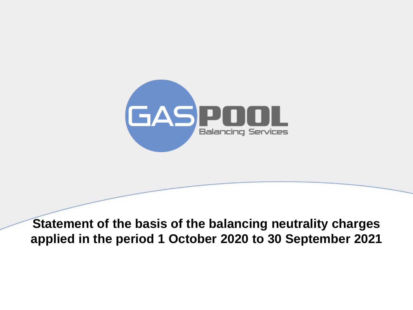

**Statement of the basis of the balancing neutrality charges applied in the period 1 October 2020 to 30 September 2021**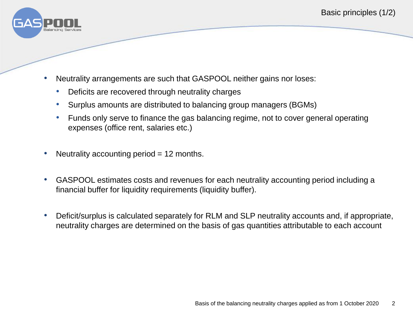

- Neutrality arrangements are such that GASPOOL neither gains nor loses:
	- Deficits are recovered through neutrality charges
	- Surplus amounts are distributed to balancing group managers (BGMs)
	- Funds only serve to finance the gas balancing regime, not to cover general operating expenses (office rent, salaries etc.)
- Neutrality accounting period  $= 12$  months.
- GASPOOL estimates costs and revenues for each neutrality accounting period including a financial buffer for liquidity requirements (liquidity buffer).
- Deficit/surplus is calculated separately for RLM and SLP neutrality accounts and, if appropriate, neutrality charges are determined on the basis of gas quantities attributable to each account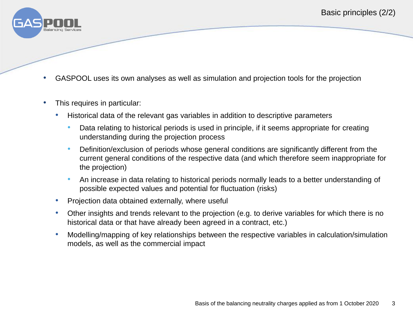

- GASPOOL uses its own analyses as well as simulation and projection tools for the projection
- This requires in particular:
	- Historical data of the relevant gas variables in addition to descriptive parameters
		- Data relating to historical periods is used in principle, if it seems appropriate for creating understanding during the projection process
		- Definition/exclusion of periods whose general conditions are significantly different from the current general conditions of the respective data (and which therefore seem inappropriate for the projection)
		- An increase in data relating to historical periods normally leads to a better understanding of possible expected values and potential for fluctuation (risks)
	- Projection data obtained externally, where useful
	- Other insights and trends relevant to the projection (e.g. to derive variables for which there is no historical data or that have already been agreed in a contract, etc.)
	- Modelling/mapping of key relationships between the respective variables in calculation/simulation models, as well as the commercial impact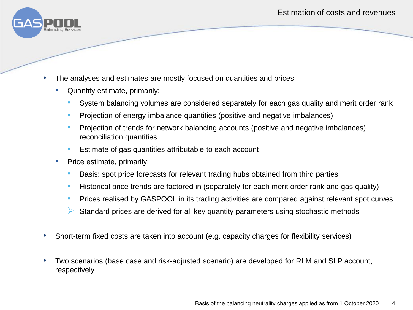

- The analyses and estimates are mostly focused on quantities and prices
	- Quantity estimate, primarily:
		- System balancing volumes are considered separately for each gas quality and merit order rank
		- Projection of energy imbalance quantities (positive and negative imbalances)
		- Projection of trends for network balancing accounts (positive and negative imbalances), reconciliation quantities
		- Estimate of gas quantities attributable to each account
	- Price estimate, primarily:
		- Basis: spot price forecasts for relevant trading hubs obtained from third parties
		- Historical price trends are factored in (separately for each merit order rank and gas quality)
		- Prices realised by GASPOOL in its trading activities are compared against relevant spot curves
		- $\triangleright$  Standard prices are derived for all key quantity parameters using stochastic methods
- Short-term fixed costs are taken into account (e.g. capacity charges for flexibility services)
- Two scenarios (base case and risk-adjusted scenario) are developed for RLM and SLP account, respectively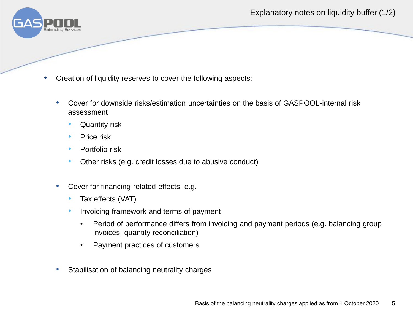Explanatory notes on liquidity buffer (1/2)



- Creation of liquidity reserves to cover the following aspects:
	- Cover for downside risks/estimation uncertainties on the basis of GASPOOL-internal risk assessment
		- Quantity risk
		- Price risk
		- Portfolio risk
		- Other risks (e.g. credit losses due to abusive conduct)
	- Cover for financing-related effects, e.g.
		- Tax effects (VAT)
		- Invoicing framework and terms of payment
			- Period of performance differs from invoicing and payment periods (e.g. balancing group invoices, quantity reconciliation)
			- Payment practices of customers
	- Stabilisation of balancing neutrality charges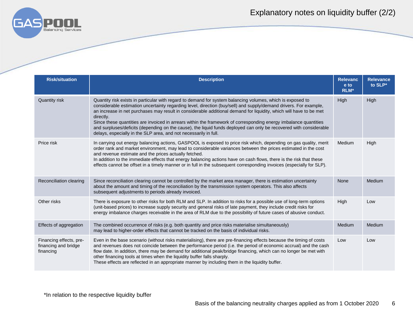

## Explanatory notes on liquidity buffer (2/2)

| <b>Risk/situation</b>                                        | <b>Description</b>                                                                                                                                                                                                                                                                                                                                                                                                                                                                                                                                                                                                                                                               | <b>Relevanc</b><br>e to<br>RLM* | <b>Relevance</b><br>to SLP* |
|--------------------------------------------------------------|----------------------------------------------------------------------------------------------------------------------------------------------------------------------------------------------------------------------------------------------------------------------------------------------------------------------------------------------------------------------------------------------------------------------------------------------------------------------------------------------------------------------------------------------------------------------------------------------------------------------------------------------------------------------------------|---------------------------------|-----------------------------|
| Quantity risk                                                | Quantity risk exists in particular with regard to demand for system balancing volumes, which is exposed to<br>considerable estimation uncertainty regarding level, direction (buy/sell) and supply/demand drivers. For example,<br>an increase in net purchases may result in considerable additional demand for liquidity, which will have to be met<br>directly.<br>Since these quantities are invoiced in arrears within the framework of corresponding energy imbalance quantities<br>and surpluses/deficits (depending on the cause), the liquid funds deployed can only be recovered with considerable<br>delays, especially in the SLP area, and not necessarily in full. | High                            | High                        |
| Price risk                                                   | In carrying out energy balancing actions, GASPOOL is exposed to price risk which, depending on gas quality, merit<br>order rank and market environment, may lead to considerable variances between the prices estimated in the cost<br>and revenue estimate and the prices actually fetched.<br>In addition to the immediate effects that energy balancing actions have on cash flows, there is the risk that these<br>effects cannot be offset in a timely manner or in full in the subsequent corresponding invoices (especially for SLP).                                                                                                                                     | Medium                          | High                        |
| Reconciliation clearing                                      | Since reconciliation clearing cannot be controlled by the market area manager, there is estimation uncertainty<br>about the amount and timing of the reconciliation by the transmission system operators. This also affects<br>subsequent adjustments to periods already invoiced.                                                                                                                                                                                                                                                                                                                                                                                               | None                            | Medium                      |
| Other risks                                                  | There is exposure to other risks for both RLM and SLP. In addition to risks for a possible use of long-term options<br>(unit-based prices) to increase supply security and general risks of late payment, they include credit risks for<br>energy imbalance charges receivable in the area of RLM due to the possibility of future cases of abusive conduct.                                                                                                                                                                                                                                                                                                                     | High                            | Low                         |
| Effects of aggregation                                       | The combined occurrence of risks (e.g. both quantity and price risks materialise simultaneously)<br>may lead to higher-order effects that cannot be tracked on the basis of individual risks.                                                                                                                                                                                                                                                                                                                                                                                                                                                                                    | <b>Medium</b>                   | <b>Medium</b>               |
| Financing effects, pre-<br>financing and bridge<br>financing | Even in the base scenario (without risks materialising), there are pre-financing effects because the timing of costs<br>and revenues does not coincide between the performance period (i.e. the period of economic accrual) and the cash<br>flow date. In addition, there may be demand for additional peak/bridge financing, which can no longer be met with<br>other financing tools at times when the liquidity buffer falls sharply.<br>These effects are reflected in an appropriate manner by including them in the liquidity buffer.                                                                                                                                      | Low                             | Low                         |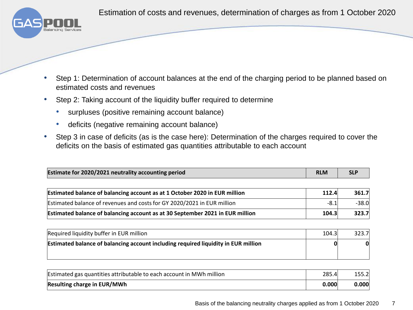Estimation of costs and revenues, determination of charges as from 1 October 2020



- Step 1: Determination of account balances at the end of the charging period to be planned based on estimated costs and revenues
- Step 2: Taking account of the liquidity buffer required to determine
	- surpluses (positive remaining account balance)
	- deficits (negative remaining account balance)
- Step 3 in case of deficits (as is the case here): Determination of the charges required to cover the deficits on the basis of estimated gas quantities attributable to each account

| Estimate for 2020/2021 neutrality accounting period | <b>RLM</b> |  |
|-----------------------------------------------------|------------|--|
|                                                     |            |  |

| Estimated balance of balancing account as at 1 October 2020 in EUR million    |      | 361.7<br>112.4 |
|-------------------------------------------------------------------------------|------|----------------|
| Estimated balance of revenues and costs for GY 2020/2021 in EUR million       | -8.1 | $-38.0$        |
| Estimated balance of balancing account as at 30 September 2021 in EUR million |      | 323.7<br>104.3 |

| Required liquidity buffer in EUR million                                                  |  | 104.3<br>323.7 |
|-------------------------------------------------------------------------------------------|--|----------------|
| <b>Estimated balance of balancing account including required liquidity in EUR million</b> |  | 01             |
|                                                                                           |  |                |

| Estimated gas quantities attributable to each account in MWh million |  | 155.2           |
|----------------------------------------------------------------------|--|-----------------|
| <b>Resulting charge in EUR/MWh</b>                                   |  | 0.000 <br>0.000 |